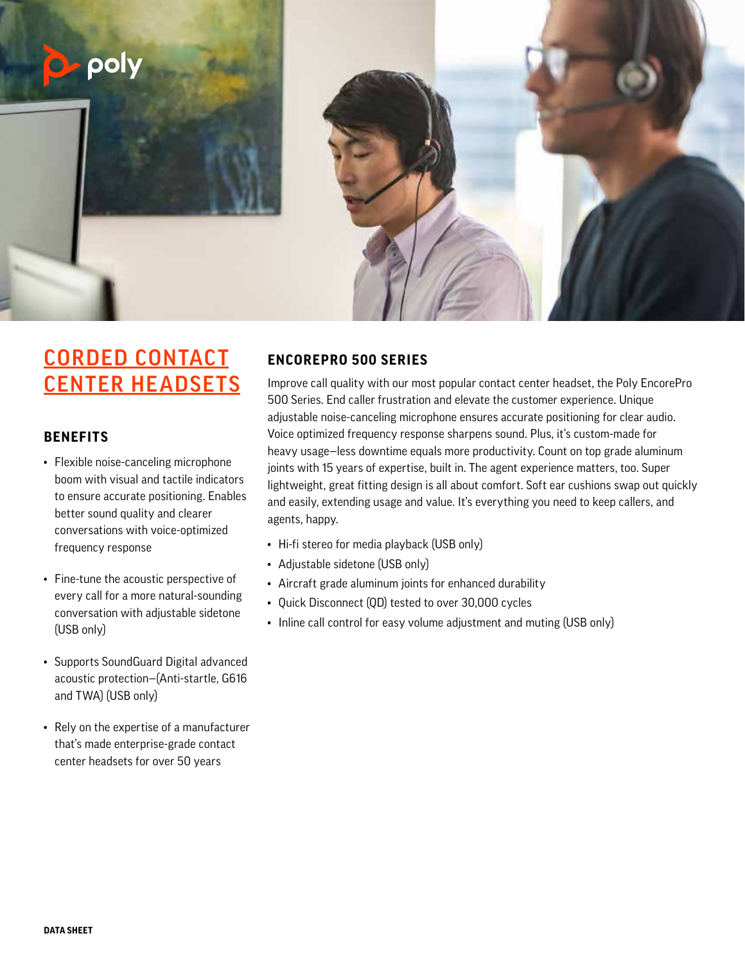

# CORDED CONTACT CENTER HEADSETS

#### **BENEFITS**

- Flexible noise-canceling microphone boom with visual and tactile indicators to ensure accurate positioning. Enables better sound quality and clearer conversations with voice-optimized frequency response
- Fine-tune the acoustic perspective of every call for a more natural-sounding conversation with adjustable sidetone (USB only)
- Supports SoundGuard Digital advanced acoustic protection—(Anti-startle, G616 and TWA) (USB only)
- Rely on the expertise of a manufacturer that's made enterprise-grade contact center headsets for over 50 years

## **ENCOREPRO 500 SERIES**

Improve call quality with our most popular contact center headset, the Poly EncorePro 500 Series. End caller frustration and elevate the customer experience. Unique adjustable noise-canceling microphone ensures accurate positioning for clear audio. Voice optimized frequency response sharpens sound. Plus, it's custom-made for heavy usage—less downtime equals more productivity. Count on top grade aluminum joints with 15 years of expertise, built in. The agent experience matters, too. Super lightweight, great fitting design is all about comfort. Soft ear cushions swap out quickly and easily, extending usage and value. It's everything you need to keep callers, and agents, happy.

- Hi-fi stereo for media playback (USB only)
- Adjustable sidetone (USB only)
- Aircraft grade aluminum joints for enhanced durability
- Quick Disconnect (QD) tested to over 30,000 cycles
- Inline call control for easy volume adjustment and muting (USB only)